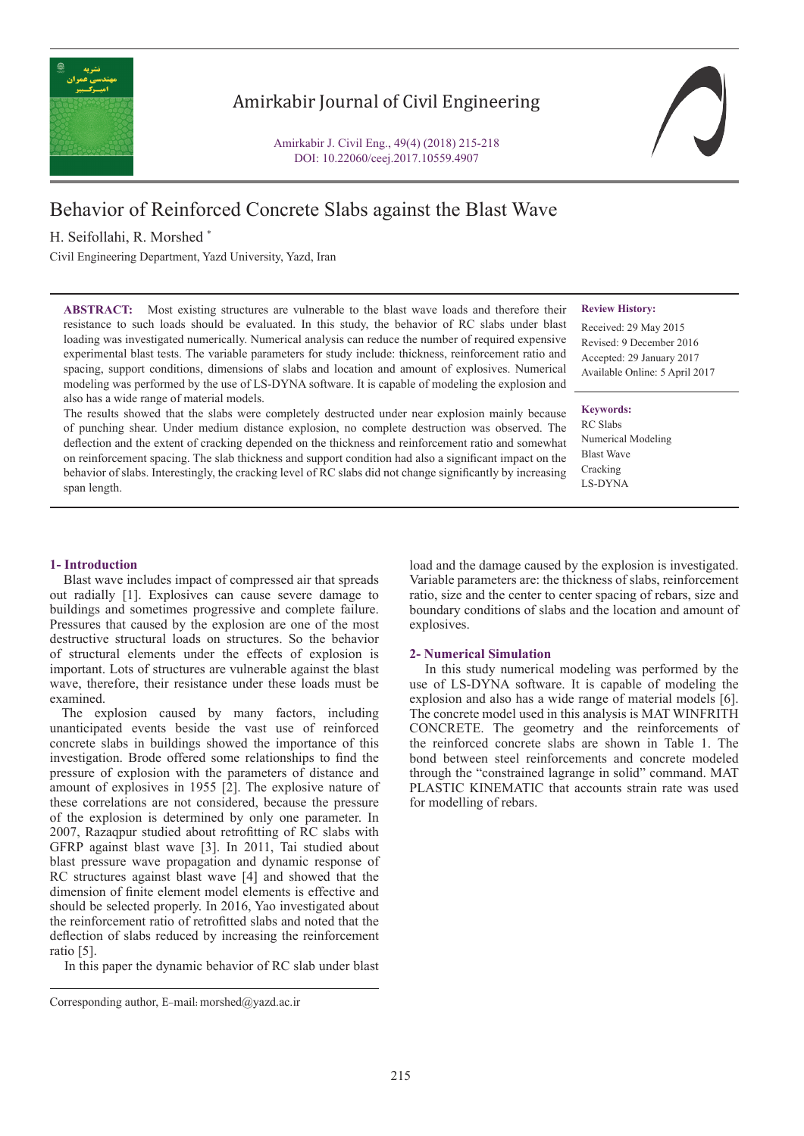

# Amirkabir Journal of Civil Engineering

Amirkabir J. Civil Eng., 49(4) (2018) 215-218 DOI: 10.22060/ceej.2017.10559.4907



# Behavior of Reinforced Concrete Slabs against the Blast Wave

H. Seifollahi, R. Morshed \*

Civil Engineering Department, Yazd University, Yazd, Iran

**ABSTRACT:** Most existing structures are vulnerable to the blast wave loads and therefore their resistance to such loads should be evaluated. In this study, the behavior of RC slabs under blast loading was investigated numerically. Numerical analysis can reduce the number of required expensive experimental blast tests. The variable parameters for study include: thickness, reinforcement ratio and spacing, support conditions, dimensions of slabs and location and amount of explosives. Numerical modeling was performed by the use of LS-DYNA software. It is capable of modeling the explosion and also has a wide range of material models.

The results showed that the slabs were completely destructed under near explosion mainly because of punching shear. Under medium distance explosion, no complete destruction was observed. The deflection and the extent of cracking depended on the thickness and reinforcement ratio and somewhat on reinforcement spacing. The slab thickness and support condition had also a significant impact on the behavior of slabs. Interestingly, the cracking level of RC slabs did not change significantly by increasing span length.

#### **Review History:**

Received: 29 May 2015 Revised: 9 December 2016 Accepted: 29 January 2017 Available Online: 5 April 2017

# **Keywords:**

RC Slabs Numerical Modeling Blast Wave Cracking LS-DYNA

## **1- Introduction**

 Blast wave includes impact of compressed air that spreads out radially [1]. Explosives can cause severe damage to buildings and sometimes progressive and complete failure. Pressures that caused by the explosion are one of the most destructive structural loads on structures. So the behavior of structural elements under the effects of explosion is important. Lots of structures are vulnerable against the blast wave, therefore, their resistance under these loads must be examined.

 The explosion caused by many factors, including unanticipated events beside the vast use of reinforced concrete slabs in buildings showed the importance of this investigation. Brode offered some relationships to find the pressure of explosion with the parameters of distance and amount of explosives in 1955 [2]. The explosive nature of these correlations are not considered, because the pressure of the explosion is determined by only one parameter. In 2007, Razaqpur studied about retrofitting of RC slabs with GFRP against blast wave [3]. In 2011, Tai studied about blast pressure wave propagation and dynamic response of RC structures against blast wave [4] and showed that the dimension of finite element model elements is effective and should be selected properly. In 2016, Yao investigated about the reinforcement ratio of retrofitted slabs and noted that the deflection of slabs reduced by increasing the reinforcement ratio [5].

In this paper the dynamic behavior of RC slab under blast

load and the damage caused by the explosion is investigated. Variable parameters are: the thickness of slabs, reinforcement ratio, size and the center to center spacing of rebars, size and boundary conditions of slabs and the location and amount of explosives.

### **2- Numerical Simulation**

 In this study numerical modeling was performed by the use of LS-DYNA software. It is capable of modeling the explosion and also has a wide range of material models [6]. The concrete model used in this analysis is MAT WINFRITH CONCRETE. The geometry and the reinforcements of the reinforced concrete slabs are shown in Table 1. The bond between steel reinforcements and concrete modeled through the "constrained lagrange in solid" command. MAT PLASTIC KINEMATIC that accounts strain rate was used for modelling of rebars.

Corresponding author, E-mail: morshed@yazd.ac.ir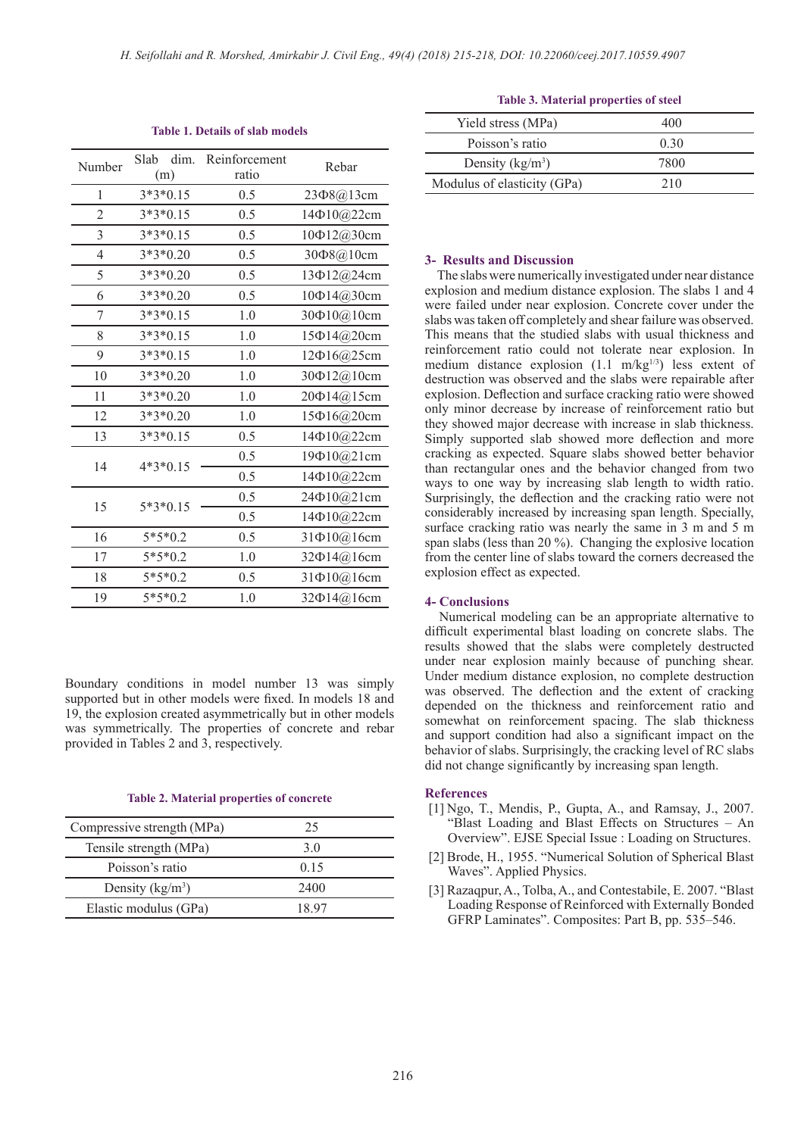| Number         | dim.<br>Slab<br>(m) | Reinforcement<br>ratio | Rebar             |
|----------------|---------------------|------------------------|-------------------|
| 1              | 3*3*0.15            | 0.5                    | 23Φ8@13cm         |
| $\overline{2}$ | $3*3*0.15$          | 0.5                    | 14Φ10@22cm        |
| 3              | $3*3*0.15$          | 0.5                    | 10Ф12@30cm        |
| $\overline{4}$ | $3*3*0.20$          | 0.5                    | 30408@10cm        |
| 5              | $3*3*0.20$          | 0.5                    | 13Φ12@24cm        |
| 6              | $3*3*0.20$          | 0.5                    | 10Ф14@30cm        |
| 7              | $3*3*0.15$          | 1.0                    | 30 $\Phi$ 10@10cm |
| 8              | $3*3*0.15$          | 1.0                    | 15Φ14@20cm        |
| 9              | $3*3*0.15$          | 1.0                    | 12Φ16@25cm        |
| 10             | $3*3*0.20$          | 1.0                    | 30Φ12@10cm        |
| 11             | $3*3*0.20$          | 1.0                    | 20Φ14@15cm        |
| 12             | $3*3*0.20$          | 1.0                    | 15Ф16@20cm        |
| 13             | $3*3*0.15$          | 0.5                    | 14Φ10@22cm        |
| 14             | 4*3*0.15            | 0.5                    | 19Φ10@21cm        |
|                |                     | 0.5                    | 14Φ10@22cm        |
| 15             | $5*3*0.15$          | 0.5                    | 24Φ10@21cm        |
|                |                     | 0.5                    | 14Φ10@22cm        |
| 16             | $5*5*0.2$           | 0.5                    | 31Φ10@16cm        |
| 17             | $5*5*0.2$           | 1.0                    | 32Φ14@16cm        |
| 18             | $5*5*0.2$           | 0.5                    | 31Φ10@16cm        |
| 19             | $5*5*0.2$           | 1.0                    | 32 $\Phi$ 14@16cm |

**Table 1. Details of slab models**

Boundary conditions in model number 13 was simply supported but in other models were fixed. In models 18 and 19, the explosion created asymmetrically but in other models was symmetrically. The properties of concrete and rebar provided in Tables 2 and 3, respectively.

#### **Table 2. Material properties of concrete**

| Compressive strength (MPa) | 25    |
|----------------------------|-------|
| Tensile strength (MPa)     | 30    |
| Poisson's ratio            | 0.15  |
| Density $(kg/m^3)$         | 2400  |
| Elastic modulus (GPa)      | 18 97 |

|  | <b>Table 3. Material properties of steel</b> |
|--|----------------------------------------------|
|--|----------------------------------------------|

| 400  |
|------|
| 0,30 |
| 7800 |
| 210  |
|      |

### **3- Results and Discussion**

 The slabs were numerically investigated under near distance explosion and medium distance explosion. The slabs 1 and 4 were failed under near explosion. Concrete cover under the slabs was taken off completely and shear failure was observed. This means that the studied slabs with usual thickness and reinforcement ratio could not tolerate near explosion. In medium distance explosion  $(1.1 \text{ m/kg}^{1/3})$  less extent of destruction was observed and the slabs were repairable after explosion. Deflection and surface cracking ratio were showed only minor decrease by increase of reinforcement ratio but they showed major decrease with increase in slab thickness. Simply supported slab showed more deflection and more cracking as expected. Square slabs showed better behavior than rectangular ones and the behavior changed from two ways to one way by increasing slab length to width ratio. Surprisingly, the deflection and the cracking ratio were not considerably increased by increasing span length. Specially, surface cracking ratio was nearly the same in 3 m and 5 m span slabs (less than 20 %). Changing the explosive location from the center line of slabs toward the corners decreased the explosion effect as expected.

# **4- Conclusions**

 Numerical modeling can be an appropriate alternative to difficult experimental blast loading on concrete slabs. The results showed that the slabs were completely destructed under near explosion mainly because of punching shear. Under medium distance explosion, no complete destruction was observed. The deflection and the extent of cracking depended on the thickness and reinforcement ratio and somewhat on reinforcement spacing. The slab thickness and support condition had also a significant impact on the behavior of slabs. Surprisingly, the cracking level of RC slabs did not change significantly by increasing span length.

#### **References**

- [1] Ngo, T., Mendis, P., Gupta, A., and Ramsay, J., 2007. "Blast Loading and Blast Effects on Structures – An Overview". EJSE Special Issue : Loading on Structures.
- [2] Brode, H., 1955. "Numerical Solution of Spherical Blast Waves". Applied Physics.
- [3] Razaqpur, A., Tolba, A., and Contestabile, E. 2007. "Blast Loading Response of Reinforced with Externally Bonded GFRP Laminates". Composites: Part B, pp. 535–546.